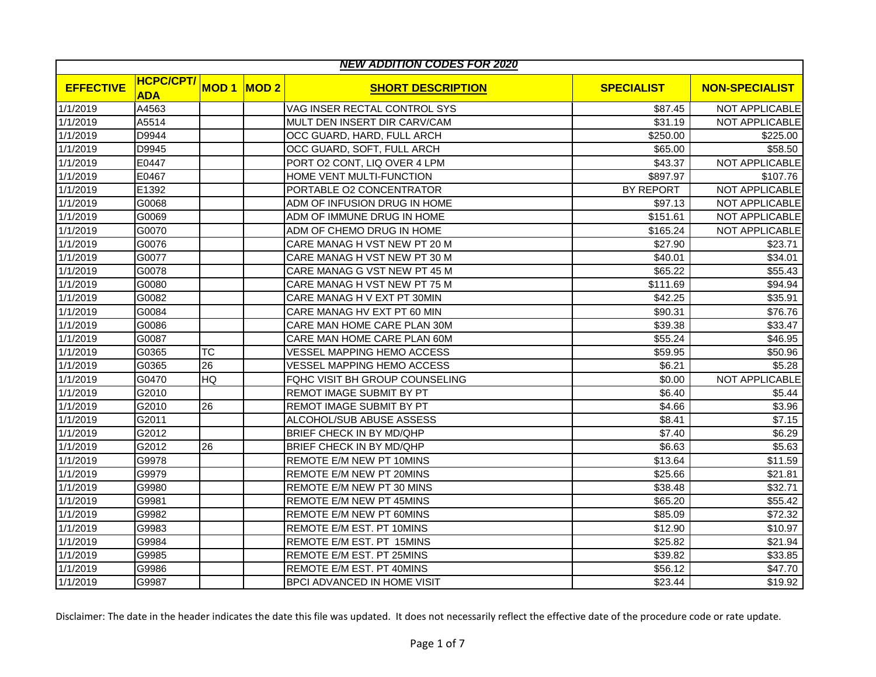|                  | <b>NEW ADDITION CODES FOR 2020</b> |             |      |                                    |                   |                       |  |  |  |
|------------------|------------------------------------|-------------|------|------------------------------------|-------------------|-----------------------|--|--|--|
| <b>EFFECTIVE</b> | <b>HCPC/CPT/</b><br><b>ADA</b>     | <b>MOD1</b> | MOD2 | <b>SHORT DESCRIPTION</b>           | <b>SPECIALIST</b> | <b>NON-SPECIALIST</b> |  |  |  |
| 1/1/2019         | A4563                              |             |      | VAG INSER RECTAL CONTROL SYS       | \$87.45           | NOT APPLICABLE        |  |  |  |
| 1/1/2019         | A5514                              |             |      | MULT DEN INSERT DIR CARV/CAM       | \$31.19           | <b>NOT APPLICABLE</b> |  |  |  |
| 1/1/2019         | D9944                              |             |      | OCC GUARD, HARD, FULL ARCH         | \$250.00          | \$225.00              |  |  |  |
| 1/1/2019         | D9945                              |             |      | OCC GUARD, SOFT, FULL ARCH         | \$65.00           | \$58.50               |  |  |  |
| 1/1/2019         | E0447                              |             |      | PORT O2 CONT, LIQ OVER 4 LPM       | \$43.37           | NOT APPLICABLE        |  |  |  |
| 1/1/2019         | E0467                              |             |      | HOME VENT MULTI-FUNCTION           | \$897.97          | \$107.76              |  |  |  |
| 1/1/2019         | E1392                              |             |      | PORTABLE O2 CONCENTRATOR           | BY REPORT         | NOT APPLICABLE        |  |  |  |
| 1/1/2019         | G0068                              |             |      | ADM OF INFUSION DRUG IN HOME       | \$97.13           | NOT APPLICABLE        |  |  |  |
| 1/1/2019         | G0069                              |             |      | ADM OF IMMUNE DRUG IN HOME         | \$151.61          | <b>NOT APPLICABLE</b> |  |  |  |
| 1/1/2019         | G0070                              |             |      | ADM OF CHEMO DRUG IN HOME          | \$165.24          | NOT APPLICABLE        |  |  |  |
| 1/1/2019         | G0076                              |             |      | CARE MANAG H VST NEW PT 20 M       | \$27.90           | \$23.71               |  |  |  |
| 1/1/2019         | G0077                              |             |      | CARE MANAG H VST NEW PT 30 M       | \$40.01           | \$34.01               |  |  |  |
| 1/1/2019         | G0078                              |             |      | CARE MANAG G VST NEW PT 45 M       | \$65.22           | \$55.43               |  |  |  |
| 1/1/2019         | G0080                              |             |      | CARE MANAG H VST NEW PT 75 M       | \$111.69          | \$94.94               |  |  |  |
| 1/1/2019         | G0082                              |             |      | CARE MANAG H V EXT PT 30MIN        | \$42.25           | \$35.91               |  |  |  |
| 1/1/2019         | G0084                              |             |      | CARE MANAG HV EXT PT 60 MIN        | \$90.31           | \$76.76               |  |  |  |
| 1/1/2019         | G0086                              |             |      | CARE MAN HOME CARE PLAN 30M        | \$39.38           | \$33.47               |  |  |  |
| 1/1/2019         | G0087                              |             |      | CARE MAN HOME CARE PLAN 60M        | \$55.24           | \$46.95               |  |  |  |
| 1/1/2019         | G0365                              | ТC          |      | VESSEL MAPPING HEMO ACCESS         | \$59.95           | \$50.96               |  |  |  |
| 1/1/2019         | G0365                              | 26          |      | <b>VESSEL MAPPING HEMO ACCESS</b>  | \$6.21            | \$5.28                |  |  |  |
| 1/1/2019         | G0470                              | HQ          |      | FQHC VISIT BH GROUP COUNSELING     | \$0.00            | <b>NOT APPLICABLE</b> |  |  |  |
| 1/1/2019         | G2010                              |             |      | REMOT IMAGE SUBMIT BY PT           | \$6.40            | \$5.44                |  |  |  |
| 1/1/2019         | G2010                              | 26          |      | REMOT IMAGE SUBMIT BY PT           | \$4.66            | \$3.96                |  |  |  |
| 1/1/2019         | G2011                              |             |      | ALCOHOL/SUB ABUSE ASSESS           | \$8.41            | \$7.15                |  |  |  |
| 1/1/2019         | G <sub>2012</sub>                  |             |      | BRIEF CHECK IN BY MD/QHP           | \$7.40            | \$6.29                |  |  |  |
| 1/1/2019         | G2012                              | 26          |      | BRIEF CHECK IN BY MD/QHP           | \$6.63            | \$5.63                |  |  |  |
| 1/1/2019         | G9978                              |             |      | REMOTE E/M NEW PT 10MINS           | \$13.64           | \$11.59               |  |  |  |
| 1/1/2019         | G9979                              |             |      | REMOTE E/M NEW PT 20MINS           | \$25.66           | \$21.81               |  |  |  |
| 1/1/2019         | G9980                              |             |      | REMOTE E/M NEW PT 30 MINS          | \$38.48           | \$32.71               |  |  |  |
| 1/1/2019         | G9981                              |             |      | REMOTE E/M NEW PT 45MINS           | \$65.20           | \$55.42               |  |  |  |
| 1/1/2019         | G9982                              |             |      | REMOTE E/M NEW PT 60MINS           | \$85.09           | \$72.32               |  |  |  |
| 1/1/2019         | G9983                              |             |      | REMOTE E/M EST. PT 10MINS          | \$12.90           | \$10.97               |  |  |  |
| 1/1/2019         | G9984                              |             |      | REMOTE E/M EST. PT 15MINS          | \$25.82           | \$21.94               |  |  |  |
| 1/1/2019         | G9985                              |             |      | REMOTE E/M EST. PT 25MINS          | \$39.82           | \$33.85               |  |  |  |
| 1/1/2019         | G9986                              |             |      | REMOTE E/M EST. PT 40MINS          | \$56.12           | \$47.70               |  |  |  |
| 1/1/2019         | G9987                              |             |      | <b>BPCI ADVANCED IN HOME VISIT</b> | \$23.44           | \$19.92               |  |  |  |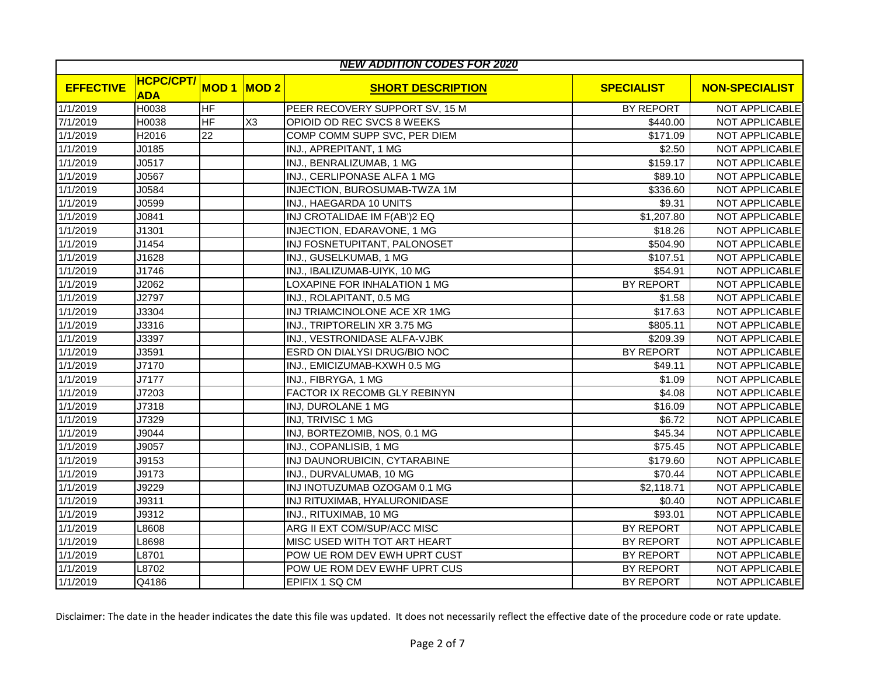| <b>NEW ADDITION CODES FOR 2020</b> |                                |                          |                |                                |                   |                       |  |  |
|------------------------------------|--------------------------------|--------------------------|----------------|--------------------------------|-------------------|-----------------------|--|--|
| <b>EFFECTIVE</b>                   | <b>HCPC/CPT/</b><br><b>ADA</b> | <b>MOD1</b>              | MOD2           | <b>SHORT DESCRIPTION</b>       | <b>SPECIALIST</b> | <b>NON-SPECIALIST</b> |  |  |
| 1/1/2019                           | H0038                          | HF                       |                | PEER RECOVERY SUPPORT SV, 15 M | <b>BY REPORT</b>  | NOT APPLICABLE        |  |  |
| 7/1/2019                           | H0038                          | $\overline{\mathsf{HF}}$ | X <sub>3</sub> | OPIOID OD REC SVCS 8 WEEKS     | \$440.00          | NOT APPLICABLE        |  |  |
| 1/1/2019                           | H2016                          | 22                       |                | COMP COMM SUPP SVC, PER DIEM   | \$171.09          | NOT APPLICABLE        |  |  |
| 1/1/2019                           | J0185                          |                          |                | INJ., APREPITANT, 1 MG         | \$2.50            | NOT APPLICABLE        |  |  |
| 1/1/2019                           | J0517                          |                          |                | INJ., BENRALIZUMAB, 1 MG       | \$159.17          | NOT APPLICABLE        |  |  |
| 1/1/2019                           | J0567                          |                          |                | INJ., CERLIPONASE ALFA 1 MG    | \$89.10           | <b>NOT APPLICABLE</b> |  |  |
| 1/1/2019                           | J0584                          |                          |                | INJECTION, BUROSUMAB-TWZA 1M   | \$336.60          | NOT APPLICABLE        |  |  |
| 1/1/2019                           | J0599                          |                          |                | INJ., HAEGARDA 10 UNITS        | \$9.31            | NOT APPLICABLE        |  |  |
| 1/1/2019                           | J0841                          |                          |                | INJ CROTALIDAE IM F(AB')2 EQ   | \$1,207.80        | <b>NOT APPLICABLE</b> |  |  |
| 1/1/2019                           | J1301                          |                          |                | INJECTION, EDARAVONE, 1 MG     | \$18.26           | NOT APPLICABLE        |  |  |
| 1/1/2019                           | J1454                          |                          |                | INJ FOSNETUPITANT, PALONOSET   | \$504.90          | NOT APPLICABLE        |  |  |
| 1/1/2019                           | J1628                          |                          |                | INJ., GUSELKUMAB, 1 MG         | \$107.51          | NOT APPLICABLE        |  |  |
| 1/1/2019                           | J1746                          |                          |                | INJ., IBALIZUMAB-UIYK, 10 MG   | \$54.91           | NOT APPLICABLE        |  |  |
| 1/1/2019                           | J2062                          |                          |                | LOXAPINE FOR INHALATION 1 MG   | BY REPORT         | NOT APPLICABLE        |  |  |
| 1/1/2019                           | J2797                          |                          |                | INJ., ROLAPITANT, 0.5 MG       | \$1.58            | NOT APPLICABLE        |  |  |
| 1/1/2019                           | J3304                          |                          |                | INJ TRIAMCINOLONE ACE XR 1MG   | \$17.63           | NOT APPLICABLE        |  |  |
| 1/1/2019                           | J3316                          |                          |                | INJ., TRIPTORELIN XR 3.75 MG   | \$805.11          | NOT APPLICABLE        |  |  |
| 1/1/2019                           | J3397                          |                          |                | INJ., VESTRONIDASE ALFA-VJBK   | \$209.39          | NOT APPLICABLE        |  |  |
| 1/1/2019                           | J3591                          |                          |                | ESRD ON DIALYSI DRUG/BIO NOC   | BY REPORT         | NOT APPLICABLE        |  |  |
| 1/1/2019                           | J7170                          |                          |                | INJ., EMICIZUMAB-KXWH 0.5 MG   | \$49.11           | NOT APPLICABLE        |  |  |
| 1/1/2019                           | J7177                          |                          |                | INJ., FIBRYGA, 1 MG            | \$1.09            | NOT APPLICABLE        |  |  |
| 1/1/2019                           | J7203                          |                          |                | FACTOR IX RECOMB GLY REBINYN   | \$4.08            | NOT APPLICABLE        |  |  |
| 1/1/2019                           | J7318                          |                          |                | INJ, DUROLANE 1 MG             | \$16.09           | NOT APPLICABLE        |  |  |
| 1/1/2019                           | J7329                          |                          |                | INJ, TRIVISC 1 MG              | \$6.72            | NOT APPLICABLE        |  |  |
| 1/1/2019                           | J9044                          |                          |                | INJ, BORTEZOMIB, NOS, 0.1 MG   | \$45.34           | <b>NOT APPLICABLE</b> |  |  |
| 1/1/2019                           | J9057                          |                          |                | INJ., COPANLISIB, 1 MG         | \$75.45           | <b>NOT APPLICABLE</b> |  |  |
| 1/1/2019                           | J9153                          |                          |                | INJ DAUNORUBICIN, CYTARABINE   | \$179.60          | NOT APPLICABLE        |  |  |
| 1/1/2019                           | J9173                          |                          |                | INJ., DURVALUMAB, 10 MG        | \$70.44           | NOT APPLICABLE        |  |  |
| 1/1/2019                           | J9229                          |                          |                | INJ INOTUZUMAB OZOGAM 0.1 MG   | \$2,118.71        | NOT APPLICABLE        |  |  |
| 1/1/2019                           | J9311                          |                          |                | INJ RITUXIMAB, HYALURONIDASE   | \$0.40            | NOT APPLICABLE        |  |  |
| 1/1/2019                           | J9312                          |                          |                | INJ., RITUXIMAB, 10 MG         | \$93.01           | NOT APPLICABLE        |  |  |
| 1/1/2019                           | ∟8608                          |                          |                | ARG II EXT COM/SUP/ACC MISC    | BY REPORT         | NOT APPLICABLE        |  |  |
| 1/1/2019                           | L8698                          |                          |                | MISC USED WITH TOT ART HEART   | BY REPORT         | NOT APPLICABLE        |  |  |
| 1/1/2019                           | L8701                          |                          |                | POW UE ROM DEV EWH UPRT CUST   | <b>BY REPORT</b>  | NOT APPLICABLE        |  |  |
| 1/1/2019                           | L8702                          |                          |                | POW UE ROM DEV EWHF UPRT CUS   | BY REPORT         | NOT APPLICABLE        |  |  |
| 1/1/2019                           | Q4186                          |                          |                | EPIFIX 1 SQ CM                 | BY REPORT         | NOT APPLICABLE        |  |  |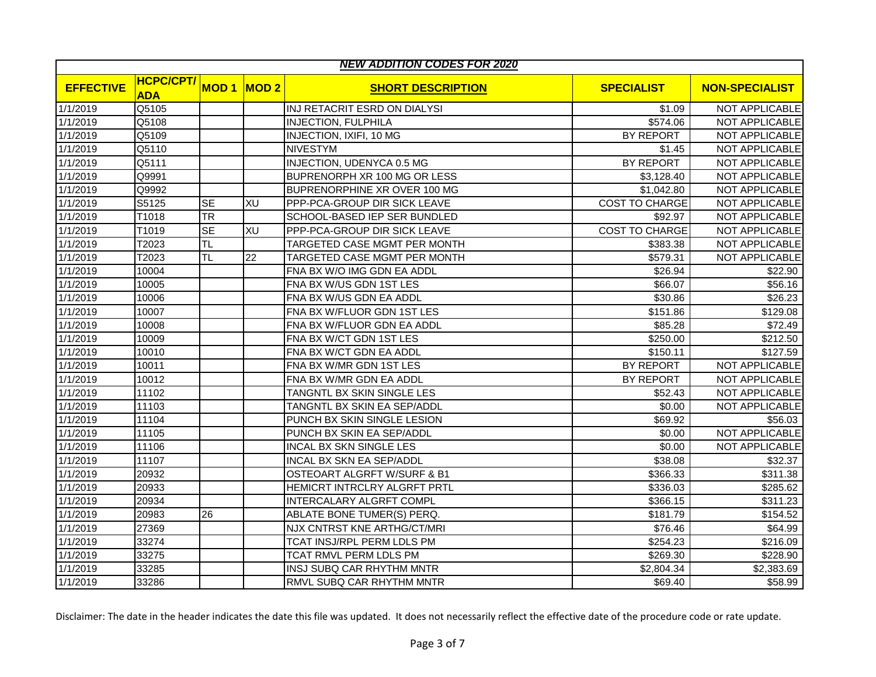|                  | <b>NEW ADDITION CODES FOR 2020</b> |             |      |                                  |                       |                       |  |  |  |
|------------------|------------------------------------|-------------|------|----------------------------------|-----------------------|-----------------------|--|--|--|
| <b>EFFECTIVE</b> | <b>HCPC/CPT/</b><br><b>ADA</b>     | <b>MOD1</b> | MOD2 | <b>SHORT DESCRIPTION</b>         | <b>SPECIALIST</b>     | <b>NON-SPECIALIST</b> |  |  |  |
| 1/1/2019         | Q5105                              |             |      | INJ RETACRIT ESRD ON DIALYSI     | \$1.09                | NOT APPLICABLE        |  |  |  |
| 1/1/2019         | Q5108                              |             |      | <b>INJECTION, FULPHILA</b>       | \$574.06              | NOT APPLICABLE        |  |  |  |
| 1/1/2019         | Q5109                              |             |      | INJECTION, IXIFI, 10 MG          | BY REPORT             | NOT APPLICABLE        |  |  |  |
| 1/1/2019         | Q5110                              |             |      | <b>NIVESTYM</b>                  | \$1.45                | NOT APPLICABLE        |  |  |  |
| 1/1/2019         | Q5111                              |             |      | <b>INJECTION, UDENYCA 0.5 MG</b> | <b>BY REPORT</b>      | NOT APPLICABLE        |  |  |  |
| 1/1/2019         | Q9991                              |             |      | BUPRENORPH XR 100 MG OR LESS     | \$3,128.40            | <b>NOT APPLICABLE</b> |  |  |  |
| 1/1/2019         | Q9992                              |             |      | BUPRENORPHINE XR OVER 100 MG     | \$1,042.80            | <b>NOT APPLICABLE</b> |  |  |  |
| 1/1/2019         | S5125                              | <b>SE</b>   | XU   | PPP-PCA-GROUP DIR SICK LEAVE     | <b>COST TO CHARGE</b> | <b>NOT APPLICABLE</b> |  |  |  |
| 1/1/2019         | T1018                              | <b>TR</b>   |      | SCHOOL-BASED IEP SER BUNDLED     | \$92.97               | NOT APPLICABLE        |  |  |  |
| 1/1/2019         | T1019                              | <b>SE</b>   | XU   | PPP-PCA-GROUP DIR SICK LEAVE     | <b>COST TO CHARGE</b> | NOT APPLICABLE        |  |  |  |
| 1/1/2019         | T2023                              | <b>TL</b>   |      | TARGETED CASE MGMT PER MONTH     | \$383.38              | NOT APPLICABLE        |  |  |  |
| 1/1/2019         | T2023                              | <b>TL</b>   | 22   | TARGETED CASE MGMT PER MONTH     | \$579.31              | <b>NOT APPLICABLE</b> |  |  |  |
| 1/1/2019         | 10004                              |             |      | FNA BX W/O IMG GDN EA ADDL       | \$26.94               | \$22.90               |  |  |  |
| 1/1/2019         | 10005                              |             |      | FNA BX W/US GDN 1ST LES          | \$66.07               | \$56.16               |  |  |  |
| 1/1/2019         | 10006                              |             |      | FNA BX W/US GDN EA ADDL          | \$30.86               | \$26.23               |  |  |  |
| 1/1/2019         | 10007                              |             |      | FNA BX W/FLUOR GDN 1ST LES       | \$151.86              | \$129.08              |  |  |  |
| 1/1/2019         | 10008                              |             |      | FNA BX W/FLUOR GDN EA ADDL       | \$85.28               | \$72.49               |  |  |  |
| 1/1/2019         | 10009                              |             |      | FNA BX W/CT GDN 1ST LES          | \$250.00              | \$212.50              |  |  |  |
| 1/1/2019         | 10010                              |             |      | FNA BX W/CT GDN EA ADDL          | \$150.11              | \$127.59              |  |  |  |
| 1/1/2019         | 10011                              |             |      | FNA BX W/MR GDN 1ST LES          | BY REPORT             | NOT APPLICABLE        |  |  |  |
| 1/1/2019         | 10012                              |             |      | FNA BX W/MR GDN EA ADDL          | BY REPORT             | <b>NOT APPLICABLE</b> |  |  |  |
| 1/1/2019         | 11102                              |             |      | TANGNTL BX SKIN SINGLE LES       | \$52.43               | NOT APPLICABLE        |  |  |  |
| 1/1/2019         | 11103                              |             |      | TANGNTL BX SKIN EA SEP/ADDL      | \$0.00                | NOT APPLICABLE        |  |  |  |
| 1/1/2019         | 11104                              |             |      | PUNCH BX SKIN SINGLE LESION      | \$69.92               | \$56.03               |  |  |  |
| 1/1/2019         | 11105                              |             |      | PUNCH BX SKIN EA SEP/ADDL        | \$0.00                | NOT APPLICABLE        |  |  |  |
| 1/1/2019         | 11106                              |             |      | <b>INCAL BX SKN SINGLE LES</b>   | \$0.00                | NOT APPLICABLE        |  |  |  |
| 1/1/2019         | 11107                              |             |      | <b>INCAL BX SKN EA SEP/ADDL</b>  | \$38.08               | \$32.37               |  |  |  |
| 1/1/2019         | 20932                              |             |      | OSTEOART ALGRFT W/SURF & B1      | \$366.33              | \$311.38              |  |  |  |
| 1/1/2019         | 20933                              |             |      | HEMICRT INTRCLRY ALGRFT PRTL     | \$336.03              | \$285.62              |  |  |  |
| 1/1/2019         | 20934                              |             |      | INTERCALARY ALGRFT COMPL         | \$366.15              | \$311.23              |  |  |  |
| 1/1/2019         | 20983                              | 26          |      | ABLATE BONE TUMER(S) PERQ.       | \$181.79              | \$154.52              |  |  |  |
| 1/1/2019         | 27369                              |             |      | NJX CNTRST KNE ARTHG/CT/MRI      | \$76.46               | \$64.99               |  |  |  |
| 1/1/2019         | 33274                              |             |      | TCAT INSJ/RPL PERM LDLS PM       | \$254.23              | \$216.09              |  |  |  |
| 1/1/2019         | 33275                              |             |      | TCAT RMVL PERM LDLS PM           | \$269.30              | \$228.90              |  |  |  |
| 1/1/2019         | 33285                              |             |      | INSJ SUBQ CAR RHYTHM MNTR        | \$2,804.34            | \$2,383.69            |  |  |  |
| 1/1/2019         | 33286                              |             |      | RMVL SUBQ CAR RHYTHM MNTR        | \$69.40               | \$58.99               |  |  |  |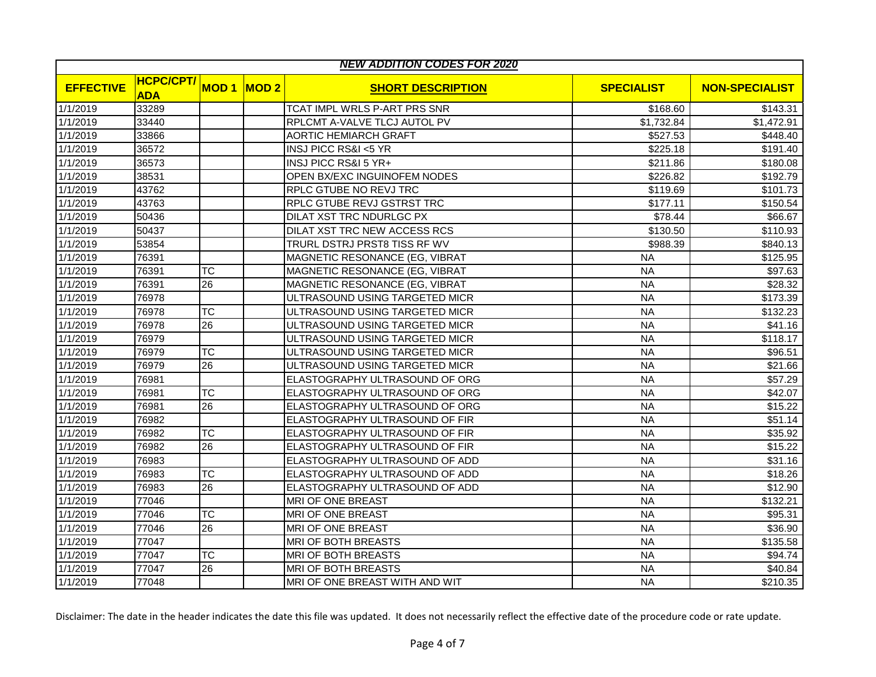| <b>NEW ADDITION CODES FOR 2020</b> |                                |                        |      |                                     |                   |                       |  |  |
|------------------------------------|--------------------------------|------------------------|------|-------------------------------------|-------------------|-----------------------|--|--|
| <b>EFFECTIVE</b>                   | <b>HCPC/CPT/</b><br><b>ADA</b> | <b>MOD1</b>            | MOD2 | <b>SHORT DESCRIPTION</b>            | <b>SPECIALIST</b> | <b>NON-SPECIALIST</b> |  |  |
| 1/1/2019                           | 33289                          |                        |      | <b>TCAT IMPL WRLS P-ART PRS SNR</b> | \$168.60          | \$143.31              |  |  |
| 1/1/2019                           | 33440                          |                        |      | RPLCMT A-VALVE TLCJ AUTOL PV        | \$1,732.84        | \$1,472.91            |  |  |
| 1/1/2019                           | 33866                          |                        |      | <b>AORTIC HEMIARCH GRAFT</b>        | \$527.53          | \$448.40              |  |  |
| 1/1/2019                           | 36572                          |                        |      | INSJ PICC RS&I <5 YR                | \$225.18          | \$191.40              |  |  |
| 1/1/2019                           | 36573                          |                        |      | INSJ PICC RS&I 5 YR+                | \$211.86          | \$180.08              |  |  |
| 1/1/2019                           | 38531                          |                        |      | OPEN BX/EXC INGUINOFEM NODES        | \$226.82          | \$192.79              |  |  |
| 1/1/2019                           | 43762                          |                        |      | RPLC GTUBE NO REVJ TRC              | \$119.69          | \$101.73              |  |  |
| 1/1/2019                           | 43763                          |                        |      | RPLC GTUBE REVJ GSTRST TRC          | \$177.11          | \$150.54              |  |  |
| 1/1/2019                           | 50436                          |                        |      | DILAT XST TRC NDURLGC PX            | \$78.44           | \$66.67               |  |  |
| 1/1/2019                           | 50437                          |                        |      | <b>DILAT XST TRC NEW ACCESS RCS</b> | \$130.50          | \$110.93              |  |  |
| 1/1/2019                           | 53854                          |                        |      | TRURL DSTRJ PRST8 TISS RF WV        | \$988.39          | \$840.13              |  |  |
| 1/1/2019                           | 76391                          |                        |      | MAGNETIC RESONANCE (EG, VIBRAT      | <b>NA</b>         | \$125.95              |  |  |
| 1/1/2019                           | 76391                          | ТC                     |      | MAGNETIC RESONANCE (EG, VIBRAT      | <b>NA</b>         | \$97.63               |  |  |
| 1/1/2019                           | 76391                          | 26                     |      | MAGNETIC RESONANCE (EG, VIBRAT      | <b>NA</b>         | \$28.32               |  |  |
| 1/1/2019                           | 76978                          |                        |      | ULTRASOUND USING TARGETED MICR      | <b>NA</b>         | \$173.39              |  |  |
| 1/1/2019                           | 76978                          | $\overline{\text{TC}}$ |      | ULTRASOUND USING TARGETED MICR      | <b>NA</b>         | \$132.23              |  |  |
| 1/1/2019                           | 76978                          | 26                     |      | ULTRASOUND USING TARGETED MICR      | <b>NA</b>         | \$41.16               |  |  |
| 1/1/2019                           | 76979                          |                        |      | ULTRASOUND USING TARGETED MICR      | <b>NA</b>         | \$118.17              |  |  |
| 1/1/2019                           | 76979                          | ТC                     |      | ULTRASOUND USING TARGETED MICR      | <b>NA</b>         | \$96.51               |  |  |
| 1/1/2019                           | 76979                          | 26                     |      | ULTRASOUND USING TARGETED MICR      | <b>NA</b>         | \$21.66               |  |  |
| 1/1/2019                           | 76981                          |                        |      | ELASTOGRAPHY ULTRASOUND OF ORG      | <b>NA</b>         | \$57.29               |  |  |
| 1/1/2019                           | 76981                          | ТC                     |      | ELASTOGRAPHY ULTRASOUND OF ORG      | <b>NA</b>         | \$42.07               |  |  |
| 1/1/2019                           | 76981                          | 26                     |      | ELASTOGRAPHY ULTRASOUND OF ORG      | <b>NA</b>         | \$15.22               |  |  |
| 1/1/2019                           | 76982                          |                        |      | ELASTOGRAPHY ULTRASOUND OF FIR      | <b>NA</b>         | \$51.14               |  |  |
| 1/1/2019                           | 76982                          | ТC                     |      | ELASTOGRAPHY ULTRASOUND OF FIR      | <b>NA</b>         | \$35.92               |  |  |
| 1/1/2019                           | 76982                          | 26                     |      | ELASTOGRAPHY ULTRASOUND OF FIR      | <b>NA</b>         | \$15.22               |  |  |
| 1/1/2019                           | 76983                          |                        |      | ELASTOGRAPHY ULTRASOUND OF ADD      | <b>NA</b>         | \$31.16               |  |  |
| 1/1/2019                           | 76983                          | ТC                     |      | ELASTOGRAPHY ULTRASOUND OF ADD      | <b>NA</b>         | \$18.26               |  |  |
| 1/1/2019                           | 76983                          | 26                     |      | ELASTOGRAPHY ULTRASOUND OF ADD      | <b>NA</b>         | \$12.90               |  |  |
| 1/1/2019                           | 77046                          |                        |      | MRI OF ONE BREAST                   | <b>NA</b>         | \$132.21              |  |  |
| 1/1/2019                           | 77046                          | ТC                     |      | MRI OF ONE BREAST                   | <b>NA</b>         | \$95.31               |  |  |
| 1/1/2019                           | 77046                          | 26                     |      | <b>MRI OF ONE BREAST</b>            | <b>NA</b>         | \$36.90               |  |  |
| 1/1/2019                           | 77047                          |                        |      | MRI OF BOTH BREASTS                 | <b>NA</b>         | \$135.58              |  |  |
| 1/1/2019                           | 77047                          | ТC                     |      | <b>MRI OF BOTH BREASTS</b>          | <b>NA</b>         | \$94.74               |  |  |
| 1/1/2019                           | 77047                          | 26                     |      | MRI OF BOTH BREASTS                 | <b>NA</b>         | \$40.84               |  |  |
| 1/1/2019                           | 77048                          |                        |      | MRI OF ONE BREAST WITH AND WIT      | <b>NA</b>         | \$210.35              |  |  |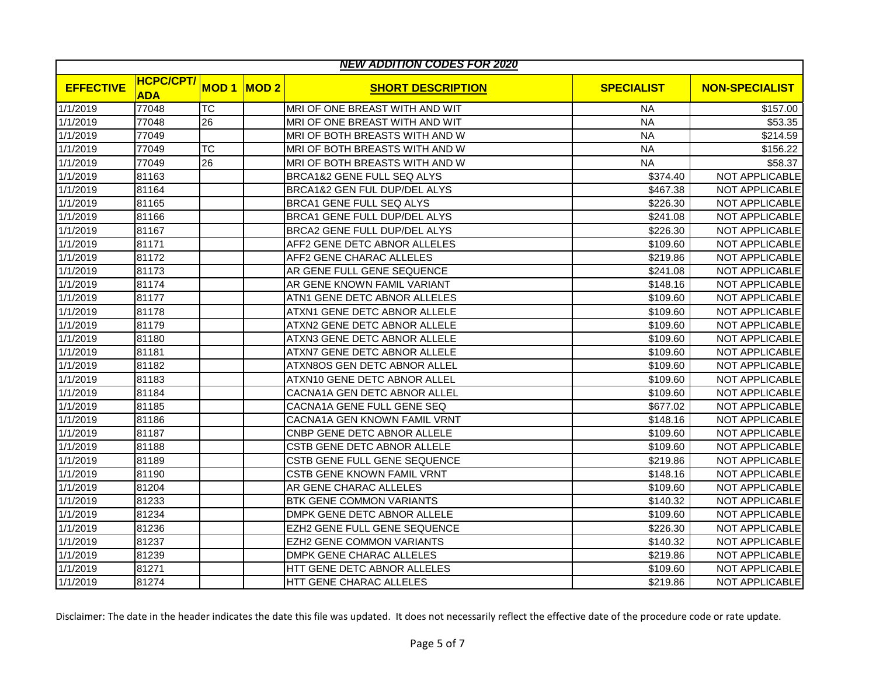| <b>NEW ADDITION CODES FOR 2020</b> |                                |                 |             |                                 |                   |                       |  |  |
|------------------------------------|--------------------------------|-----------------|-------------|---------------------------------|-------------------|-----------------------|--|--|
| <b>EFFECTIVE</b>                   | <b>HCPC/CPT/</b><br><b>ADA</b> | <b>MOD1</b>     | <b>MOD2</b> | <b>SHORT DESCRIPTION</b>        | <b>SPECIALIST</b> | <b>NON-SPECIALIST</b> |  |  |
| 1/1/2019                           | 77048                          | <b>TC</b>       |             | MRI OF ONE BREAST WITH AND WIT  | NA                | \$157.00              |  |  |
| 1/1/2019                           | 77048                          | 26              |             | MRI OF ONE BREAST WITH AND WIT  | <b>NA</b>         | \$53.35               |  |  |
| 1/1/2019                           | 77049                          |                 |             | MRI OF BOTH BREASTS WITH AND W  | <b>NA</b>         | \$214.59              |  |  |
| 1/1/2019                           | 77049                          | <b>TC</b>       |             | MRI OF BOTH BREASTS WITH AND W  | <b>NA</b>         | \$156.22              |  |  |
| 1/1/2019                           | 77049                          | $\overline{26}$ |             | MRI OF BOTH BREASTS WITH AND W  | N <sub>A</sub>    | \$58.37               |  |  |
| 1/1/2019                           | 81163                          |                 |             | BRCA1&2 GENE FULL SEQ ALYS      | \$374.40          | NOT APPLICABLE        |  |  |
| 1/1/2019                           | 81164                          |                 |             | BRCA1&2 GEN FUL DUP/DEL ALYS    | \$467.38          | NOT APPLICABLE        |  |  |
| 1/1/2019                           | 81165                          |                 |             | BRCA1 GENE FULL SEQ ALYS        | \$226.30          | NOT APPLICABLE        |  |  |
| 1/1/2019                           | 81166                          |                 |             | BRCA1 GENE FULL DUP/DEL ALYS    | \$241.08          | <b>NOT APPLICABLE</b> |  |  |
| 1/1/2019                           | 81167                          |                 |             | BRCA2 GENE FULL DUP/DEL ALYS    | \$226.30          | <b>NOT APPLICABLE</b> |  |  |
| 1/1/2019                           | 81171                          |                 |             | AFF2 GENE DETC ABNOR ALLELES    | \$109.60          | NOT APPLICABLE        |  |  |
| 1/1/2019                           | 81172                          |                 |             | AFF2 GENE CHARAC ALLELES        | \$219.86          | NOT APPLICABLE        |  |  |
| 1/1/2019                           | 81173                          |                 |             | AR GENE FULL GENE SEQUENCE      | \$241.08          | NOT APPLICABLE        |  |  |
| 1/1/2019                           | 81174                          |                 |             | AR GENE KNOWN FAMIL VARIANT     | \$148.16          | NOT APPLICABLE        |  |  |
| 1/1/2019                           | 81177                          |                 |             | ATN1 GENE DETC ABNOR ALLELES    | \$109.60          | NOT APPLICABLE        |  |  |
| 1/1/2019                           | 81178                          |                 |             | ATXN1 GENE DETC ABNOR ALLELE    | \$109.60          | NOT APPLICABLE        |  |  |
| 1/1/2019                           | 81179                          |                 |             | ATXN2 GENE DETC ABNOR ALLELE    | \$109.60          | NOT APPLICABLE        |  |  |
| 1/1/2019                           | 81180                          |                 |             | ATXN3 GENE DETC ABNOR ALLELE    | \$109.60          | NOT APPLICABLE        |  |  |
| 1/1/2019                           | 81181                          |                 |             | ATXN7 GENE DETC ABNOR ALLELE    | \$109.60          | NOT APPLICABLE        |  |  |
| 1/1/2019                           | 81182                          |                 |             | ATXN8OS GEN DETC ABNOR ALLEL    | \$109.60          | NOT APPLICABLE        |  |  |
| 1/1/2019                           | 81183                          |                 |             | ATXN10 GENE DETC ABNOR ALLEL    | \$109.60          | NOT APPLICABLE        |  |  |
| 1/1/2019                           | 81184                          |                 |             | CACNA1A GEN DETC ABNOR ALLEL    | \$109.60          | NOT APPLICABLE        |  |  |
| 1/1/2019                           | 81185                          |                 |             | CACNA1A GENE FULL GENE SEQ      | \$677.02          | NOT APPLICABLE        |  |  |
| 1/1/2019                           | 81186                          |                 |             | CACNA1A GEN KNOWN FAMIL VRNT    | \$148.16          | NOT APPLICABLE        |  |  |
| 1/1/2019                           | 81187                          |                 |             | CNBP GENE DETC ABNOR ALLELE     | \$109.60          | <b>NOT APPLICABLE</b> |  |  |
| 1/1/2019                           | 81188                          |                 |             | CSTB GENE DETC ABNOR ALLELE     | \$109.60          | <b>NOT APPLICABLE</b> |  |  |
| 1/1/2019                           | 81189                          |                 |             | CSTB GENE FULL GENE SEQUENCE    | \$219.86          | NOT APPLICABLE        |  |  |
| 1/1/2019                           | 81190                          |                 |             | CSTB GENE KNOWN FAMIL VRNT      | \$148.16          | NOT APPLICABLE        |  |  |
| 1/1/2019                           | 81204                          |                 |             | AR GENE CHARAC ALLELES          | \$109.60          | <b>NOT APPLICABLE</b> |  |  |
| 1/1/2019                           | 81233                          |                 |             | <b>BTK GENE COMMON VARIANTS</b> | \$140.32          | <b>NOT APPLICABLE</b> |  |  |
| 1/1/2019                           | 81234                          |                 |             | DMPK GENE DETC ABNOR ALLELE     | \$109.60          | NOT APPLICABLE        |  |  |
| 1/1/2019                           | 81236                          |                 |             | EZH2 GENE FULL GENE SEQUENCE    | \$226.30          | NOT APPLICABLE        |  |  |
| 1/1/2019                           | 81237                          |                 |             | EZH2 GENE COMMON VARIANTS       | \$140.32          | NOT APPLICABLE        |  |  |
| 1/1/2019                           | 81239                          |                 |             | DMPK GENE CHARAC ALLELES        | \$219.86          | NOT APPLICABLE        |  |  |
| 1/1/2019                           | 81271                          |                 |             | HTT GENE DETC ABNOR ALLELES     | \$109.60          | NOT APPLICABLE        |  |  |
| 1/1/2019                           | 81274                          |                 |             | HTT GENE CHARAC ALLELES         | \$219.86          | NOT APPLICABLE        |  |  |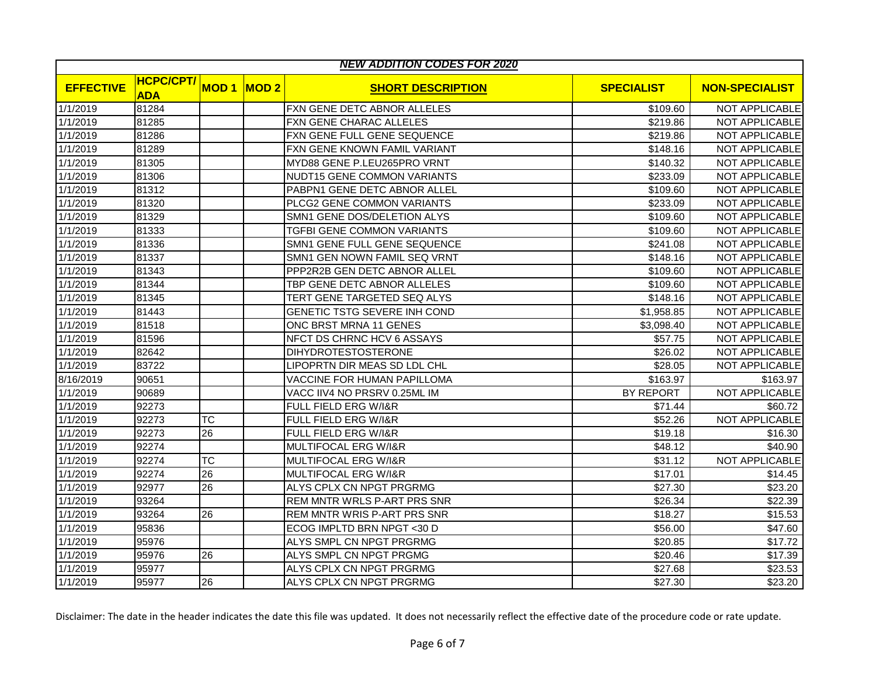| <b>NEW ADDITION CODES FOR 2020</b> |                                |                 |      |                                 |                   |                       |  |  |
|------------------------------------|--------------------------------|-----------------|------|---------------------------------|-------------------|-----------------------|--|--|
| <b>EFFECTIVE</b>                   | <b>HCPC/CPT/</b><br><b>ADA</b> | <b>MOD1</b>     | MOD2 | <b>SHORT DESCRIPTION</b>        | <b>SPECIALIST</b> | <b>NON-SPECIALIST</b> |  |  |
| 1/1/2019                           | 81284                          |                 |      | FXN GENE DETC ABNOR ALLELES     | \$109.60          | NOT APPLICABLE        |  |  |
| 1/1/2019                           | 81285                          |                 |      | FXN GENE CHARAC ALLELES         | \$219.86          | NOT APPLICABLE        |  |  |
| 1/1/2019                           | 81286                          |                 |      | FXN GENE FULL GENE SEQUENCE     | \$219.86          | NOT APPLICABLE        |  |  |
| 1/1/2019                           | 81289                          |                 |      | FXN GENE KNOWN FAMIL VARIANT    | \$148.16          | NOT APPLICABLE        |  |  |
| 1/1/2019                           | 81305                          |                 |      | MYD88 GENE P.LEU265PRO VRNT     | \$140.32          | NOT APPLICABLE        |  |  |
| 1/1/2019                           | 81306                          |                 |      | NUDT15 GENE COMMON VARIANTS     | \$233.09          | <b>NOT APPLICABLE</b> |  |  |
| 1/1/2019                           | 81312                          |                 |      | PABPN1 GENE DETC ABNOR ALLEL    | \$109.60          | <b>NOT APPLICABLE</b> |  |  |
| 1/1/2019                           | 81320                          |                 |      | PLCG2 GENE COMMON VARIANTS      | \$233.09          | <b>NOT APPLICABLE</b> |  |  |
| 1/1/2019                           | 81329                          |                 |      | SMN1 GENE DOS/DELETION ALYS     | \$109.60          | NOT APPLICABLE        |  |  |
| 1/1/2019                           | 81333                          |                 |      | TGFBI GENE COMMON VARIANTS      | \$109.60          | NOT APPLICABLE        |  |  |
| 1/1/2019                           | 81336                          |                 |      | SMN1 GENE FULL GENE SEQUENCE    | \$241.08          | NOT APPLICABLE        |  |  |
| 1/1/2019                           | 81337                          |                 |      | SMN1 GEN NOWN FAMIL SEQ VRNT    | \$148.16          | NOT APPLICABLE        |  |  |
| 1/1/2019                           | 81343                          |                 |      | PPP2R2B GEN DETC ABNOR ALLEL    | \$109.60          | NOT APPLICABLE        |  |  |
| 1/1/2019                           | 81344                          |                 |      | TBP GENE DETC ABNOR ALLELES     | \$109.60          | NOT APPLICABLE        |  |  |
| 1/1/2019                           | 81345                          |                 |      | TERT GENE TARGETED SEQ ALYS     | \$148.16          | <b>NOT APPLICABLE</b> |  |  |
| 1/1/2019                           | 81443                          |                 |      | GENETIC TSTG SEVERE INH COND    | \$1,958.85        | <b>NOT APPLICABLE</b> |  |  |
| 1/1/2019                           | 81518                          |                 |      | ONC BRST MRNA 11 GENES          | \$3,098.40        | NOT APPLICABLE        |  |  |
| 1/1/2019                           | 81596                          |                 |      | NFCT DS CHRNC HCV 6 ASSAYS      | \$57.75           | NOT APPLICABLE        |  |  |
| 1/1/2019                           | 82642                          |                 |      | <b>DIHYDROTESTOSTERONE</b>      | \$26.02           | NOT APPLICABLE        |  |  |
| 1/1/2019                           | 83722                          |                 |      | LIPOPRTN DIR MEAS SD LDL CHL    | \$28.05           | NOT APPLICABLE        |  |  |
| 8/16/2019                          | 90651                          |                 |      | VACCINE FOR HUMAN PAPILLOMA     | \$163.97          | \$163.97              |  |  |
| 1/1/2019                           | 90689                          |                 |      | VACC IIV4 NO PRSRV 0.25ML IM    | <b>BY REPORT</b>  | NOT APPLICABLE        |  |  |
| 1/1/2019                           | 92273                          |                 |      | FULL FIELD ERG W/I&R            | \$71.44           | \$60.72               |  |  |
| 1/1/2019                           | 92273                          | <b>TC</b>       |      | FULL FIELD ERG W/I&R            | \$52.26           | NOT APPLICABLE        |  |  |
| 1/1/2019                           | 92273                          | $\overline{26}$ |      | FULL FIELD ERG W/I&R            | \$19.18           | \$16.30               |  |  |
| 1/1/2019                           | 92274                          |                 |      | MULTIFOCAL ERG W/I&R            | \$48.12           | \$40.90               |  |  |
| 1/1/2019                           | 92274                          | <b>TC</b>       |      | <b>MULTIFOCAL ERG W/I&amp;R</b> | \$31.12           | NOT APPLICABLE        |  |  |
| 1/1/2019                           | 92274                          | 26              |      | <b>MULTIFOCAL ERG W/I&amp;R</b> | \$17.01           | \$14.45               |  |  |
| 1/1/2019                           | 92977                          | 26              |      | ALYS CPLX CN NPGT PRGRMG        | \$27.30           | \$23.20               |  |  |
| 1/1/2019                           | 93264                          |                 |      | REM MNTR WRLS P-ART PRS SNR     | \$26.34           | \$22.39               |  |  |
| 1/1/2019                           | 93264                          | 26              |      | REM MNTR WRIS P-ART PRS SNR     | \$18.27           | \$15.53               |  |  |
| 1/1/2019                           | 95836                          |                 |      | ECOG IMPLTD BRN NPGT <30 D      | \$56.00           | \$47.60               |  |  |
| 1/1/2019                           | 95976                          |                 |      | ALYS SMPL CN NPGT PRGRMG        | \$20.85           | \$17.72               |  |  |
| 1/1/2019                           | 95976                          | 26              |      | ALYS SMPL CN NPGT PRGMG         | \$20.46           | \$17.39               |  |  |
| 1/1/2019                           | 95977                          |                 |      | ALYS CPLX CN NPGT PRGRMG        | \$27.68           | \$23.53               |  |  |
| 1/1/2019                           | 95977                          | 26              |      | ALYS CPLX CN NPGT PRGRMG        | \$27.30           | \$23.20               |  |  |